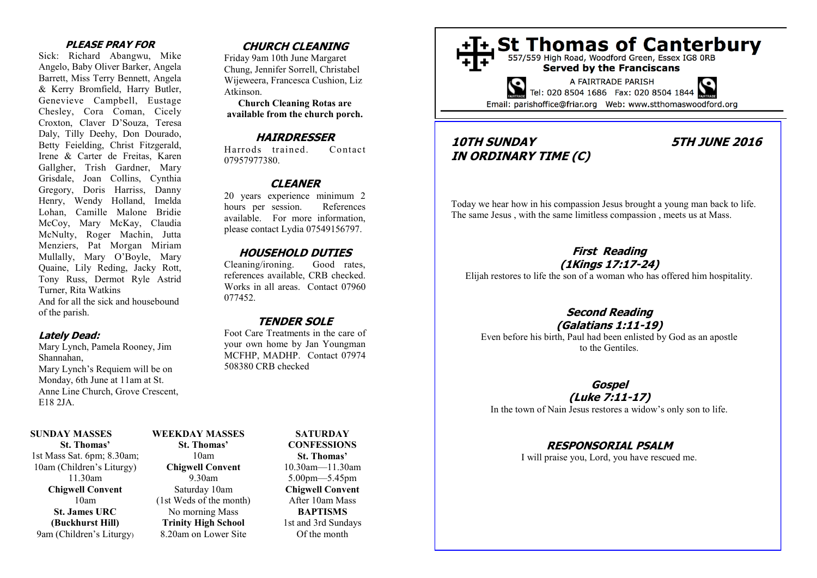#### **PLEASE PRAY FOR**

Sick: Richard Abangwu, Mike Angelo, Baby Oliver Barker, Angela Barrett, Miss Terry Bennett, Angela & Kerry Bromfield, Harry Butler, Genevieve Campbell, Eustage Chesley, Cora Coman, Cicely Croxton, Claver D'Souza, Teresa Daly, Tilly Deehy, Don Dourado, Betty Feielding, Christ Fitzgerald, Irene & Carter de Freitas, Karen Gallgher, Trish Gardner, Mary Grisdale, Joan Collins, Cynthia Gregory, Doris Harriss, Danny Henry, Wendy Holland, Imelda Lohan, Camille Malone Bridie McCoy, Mary McKay, Claudia McNulty, Roger Machin, Jutta Menziers, Pat Morgan Miriam Mullally, Mary O'Boyle, Mary Quaine, Lily Reding, Jacky Rott, Tony Russ, Dermot Ryle Astrid Turner, Rita Watkins And for all the sick and housebound of the parish.

#### **Lately Dead:**

Mary Lynch, Pamela Rooney, Jim Shannahan, Mary Lynch's Requiem will be on Monday, 6th June at 11am at St. Anne Line Church, Grove Crescent, E18 2JA.

#### **SUNDAY MASSES**

**St. Thomas'**  1st Mass Sat. 6pm; 8.30am; 10am (Children's Liturgy) 11.30am **Chigwell Convent**  10am **St. James URC (Buckhurst Hill)**  9am (Children's Liturgy)

# **WEEKDAY MASSES**

**St. Thomas'**  10am **Chigwell Convent**  9.30am Saturday 10am (1st Weds of the month) No morning Mass **Trinity High School**  8.20am on Lower Site

# **CHURCH CLEANING**

Friday 9am 10th June Margaret Chung, Jennifer Sorrell, Christabel Wijeweera, Francesca Cushion, Liz Atkinson.

**Church Cleaning Rotas are available from the church porch.**

#### **HAIRDRESSER**

Harrods trained. Contact 07957977380.

# **CLEANER**

20 years experience minimum 2 hours per session. References available. For more information, please contact Lydia 07549156797.

#### **HOUSEHOLD DUTIES**

Cleaning/ironing. Good rates, references available, CRB checked. Works in all areas. Contact 07960 077452.

#### **TENDER SOLE**

Foot Care Treatments in the care of your own home by Jan Youngman MCFHP, MADHP. Contact 07974 508380 CRB checked

> **SATURDAY CONFESSIONS St. Thomas'**  10.30am—11.30am 5.00pm—5.45pm **Chigwell Convent**  After 10am Mass **BAPTISMS**  1st and 3rd Sundays Of the month

# +T+, St Thomas of Canterbury

**Served by the Franciscans** 



A FAIRTRADE PARISH

Email: parishoffice@friar.org Web: www.stthomaswoodford.org

# **10TH SUNDAY 5TH JUNE 2016 IN ORDINARY TIME (C)**

Today we hear how in his compassion Jesus brought a young man back to life. The same Jesus , with the same limitless compassion , meets us at Mass.

# **First Reading**

**(1Kings 17:17-24)** Elijah restores to life the son of a woman who has offered him hospitality.

#### **Second Reading (Galatians 1:11-19)**

Even before his birth, Paul had been enlisted by God as an apostle to the Gentiles.

# **Gospel**

**(Luke 7:11-17)** In the town of Nain Jesus restores a widow's only son to life.

# **RESPONSORIAL PSALM**

I will praise you, Lord, you have rescued me.